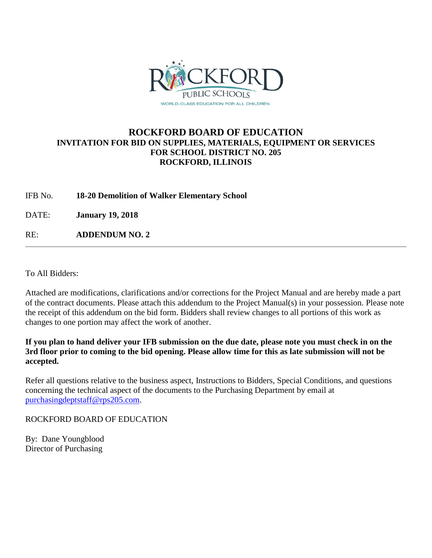

# **ROCKFORD BOARD OF EDUCATION INVITATION FOR BID ON SUPPLIES, MATERIALS, EQUIPMENT OR SERVICES FOR SCHOOL DISTRICT NO. 205 ROCKFORD, ILLINOIS**

IFB No. **18-20 Demolition of Walker Elementary School**

DATE: **January 19, 2018**

RE: **ADDENDUM NO. 2**

To All Bidders:

Attached are modifications, clarifications and/or corrections for the Project Manual and are hereby made a part of the contract documents. Please attach this addendum to the Project Manual(s) in your possession. Please note the receipt of this addendum on the bid form. Bidders shall review changes to all portions of this work as changes to one portion may affect the work of another.

**If you plan to hand deliver your IFB submission on the due date, please note you must check in on the 3rd floor prior to coming to the bid opening. Please allow time for this as late submission will not be accepted.**

Refer all questions relative to the business aspect, Instructions to Bidders, Special Conditions, and questions concerning the technical aspect of the documents to the Purchasing Department by email at [purchasingdeptstaff@rps205.com.](mailto:purchasingdeptstaff@rps205.com)

ROCKFORD BOARD OF EDUCATION

By: Dane Youngblood Director of Purchasing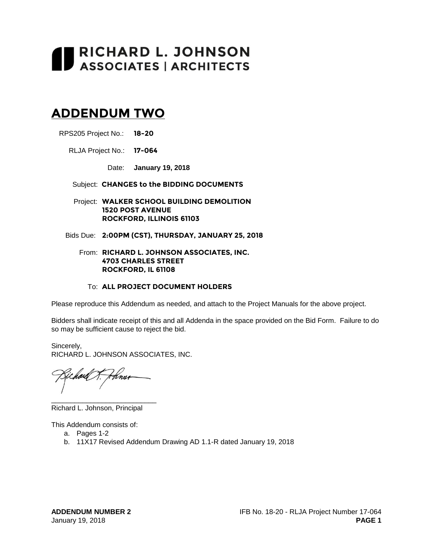# **RICHARD L. JOHNSON**<br>ASSOCIATES | ARCHITECTS

# **ADDENDUM TWO**

RPS205 Project No.: **18-20**

RLJA Project No.: **17-064**

Date: **January 19, 2018**

Subject: **CHANGES to the BIDDING DOCUMENTS**

Project: **WALKER SCHOOL BUILDING DEMOLITION 1520 POST AVENUE ROCKFORD, ILLINOIS 61103**

Bids Due: **2:00PM (CST), THURSDAY, JANUARY 25, 2018**

#### From: **RICHARD L. JOHNSON ASSOCIATES, INC. 4703 CHARLES STREET ROCKFORD, IL 61108**

#### To: **ALL PROJECT DOCUMENT HOLDERS**

Please reproduce this Addendum as needed, and attach to the Project Manuals for the above project.

Bidders shall indicate receipt of this and all Addenda in the space provided on the Bid Form. Failure to do so may be sufficient cause to reject the bid.

Sincerely, RICHARD L. JOHNSON ASSOCIATES, INC.

tina

\_\_\_\_\_\_\_\_\_\_\_\_\_\_\_\_\_\_\_\_\_\_\_\_\_\_\_

Richard L. Johnson, Principal

This Addendum consists of:

- a. Pages 1-2
- b. 11X17 Revised Addendum Drawing AD 1.1-R dated January 19, 2018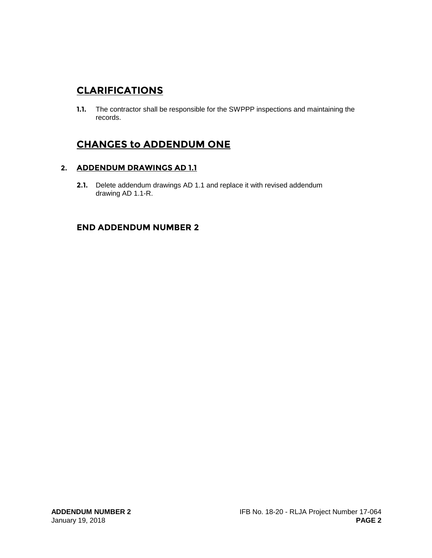# **CLARIFICATIONS**

**1.1.** The contractor shall be responsible for the SWPPP inspections and maintaining the records.

# **CHANGES to ADDENDUM ONE**

## **2. ADDENDUM DRAWINGS AD 1.1**

**2.1.** Delete addendum drawings AD 1.1 and replace it with revised addendum drawing AD 1.1-R.

# **END ADDENDUM NUMBER 2**